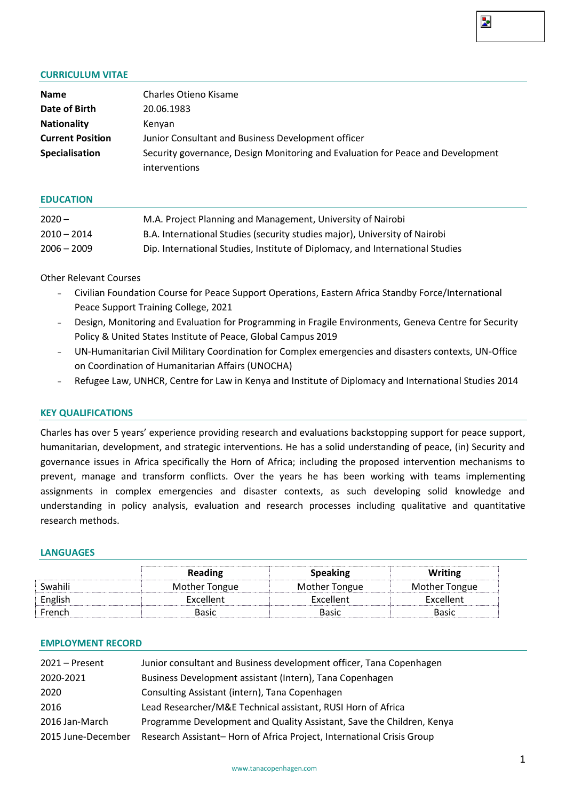# Þ.

### **CURRICULUM VITAE**

| <b>Name</b>             | Charles Otieno Kisame                                                           |  |  |  |  |
|-------------------------|---------------------------------------------------------------------------------|--|--|--|--|
| Date of Birth           | 20.06.1983                                                                      |  |  |  |  |
| <b>Nationality</b>      | Kenyan                                                                          |  |  |  |  |
| <b>Current Position</b> | Junior Consultant and Business Development officer                              |  |  |  |  |
| <b>Specialisation</b>   | Security governance, Design Monitoring and Evaluation for Peace and Development |  |  |  |  |
|                         | <i>interventions</i>                                                            |  |  |  |  |

#### **EDUCATION**

| $2020 -$      | M.A. Project Planning and Management, University of Nairobi                   |
|---------------|-------------------------------------------------------------------------------|
| $2010 - 2014$ | B.A. International Studies (security studies major), University of Nairobi    |
| $2006 - 2009$ | Dip. International Studies, Institute of Diplomacy, and International Studies |

## Other Relevant Courses

- − Civilian Foundation Course for Peace Support Operations, Eastern Africa Standby Force/International Peace Support Training College, 2021
- − Design, Monitoring and Evaluation for Programming in Fragile Environments, Geneva Centre for Security Policy & United States Institute of Peace, Global Campus 2019
- − UN-Humanitarian Civil Military Coordination for Complex emergencies and disasters contexts, UN-Office on Coordination of Humanitarian Affairs (UNOCHA)
- − Refugee Law, UNHCR, Centre for Law in Kenya and Institute of Diplomacy and International Studies 2014

#### **KEY QUALIFICATIONS**

Charles has over 5 years' experience providing research and evaluations backstopping support for peace support, humanitarian, development, and strategic interventions. He has a solid understanding of peace, (in) Security and governance issues in Africa specifically the Horn of Africa; including the proposed intervention mechanisms to prevent, manage and transform conflicts. Over the years he has been working with teams implementing assignments in complex emergencies and disaster contexts, as such developing solid knowledge and understanding in policy analysis, evaluation and research processes including qualitative and quantitative research methods.

### **LANGUAGES**

|         | Reading       | <b>Speaking</b> | <b>Writing</b> |
|---------|---------------|-----------------|----------------|
| Swahili | Mother Tongue | Mother Tongue   | Mother Tongue  |
| English | Excellent     | Excellent       | Excellent      |
| French  | Basic         | Basic           | <b>Basic</b>   |

#### **EMPLOYMENT RECORD**

| 2021 - Present     | Junior consultant and Business development officer, Tana Copenhagen   |
|--------------------|-----------------------------------------------------------------------|
| 2020-2021          | Business Development assistant (Intern), Tana Copenhagen              |
| 2020               | Consulting Assistant (intern), Tana Copenhagen                        |
| 2016               | Lead Researcher/M&E Technical assistant, RUSI Horn of Africa          |
| 2016 Jan-March     | Programme Development and Quality Assistant, Save the Children, Kenya |
| 2015 June-December | Research Assistant-Horn of Africa Project, International Crisis Group |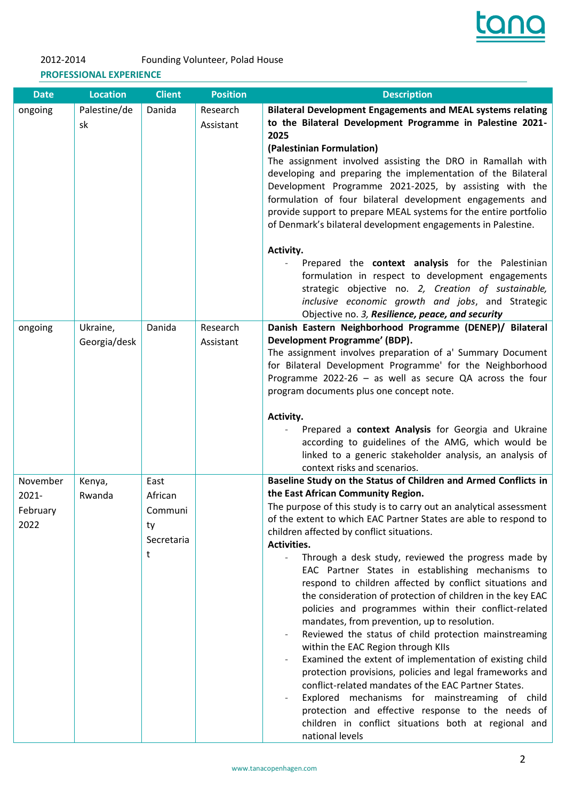

# 2012-2014 Founding Volunteer, Polad House **PROFESSIONAL EXPERIENCE**

| <b>Date</b>                           | <b>Location</b>          | <b>Client</b>                                       | <b>Position</b>       | <b>Description</b>                                                                                                                                                                                                                                                                                                                                                                                                                                                                                                                                                                                                                                                                                                                                                                                                                                                                                                                                                                                                                                                                                                             |
|---------------------------------------|--------------------------|-----------------------------------------------------|-----------------------|--------------------------------------------------------------------------------------------------------------------------------------------------------------------------------------------------------------------------------------------------------------------------------------------------------------------------------------------------------------------------------------------------------------------------------------------------------------------------------------------------------------------------------------------------------------------------------------------------------------------------------------------------------------------------------------------------------------------------------------------------------------------------------------------------------------------------------------------------------------------------------------------------------------------------------------------------------------------------------------------------------------------------------------------------------------------------------------------------------------------------------|
| ongoing                               | Palestine/de<br>sk       | Danida                                              | Research<br>Assistant | <b>Bilateral Development Engagements and MEAL systems relating</b><br>to the Bilateral Development Programme in Palestine 2021-<br>2025<br>(Palestinian Formulation)<br>The assignment involved assisting the DRO in Ramallah with<br>developing and preparing the implementation of the Bilateral<br>Development Programme 2021-2025, by assisting with the<br>formulation of four bilateral development engagements and<br>provide support to prepare MEAL systems for the entire portfolio<br>of Denmark's bilateral development engagements in Palestine.<br>Activity.<br>Prepared the context analysis for the Palestinian<br>formulation in respect to development engagements<br>strategic objective no. 2, Creation of sustainable,<br>inclusive economic growth and jobs, and Strategic<br>Objective no. 3, Resilience, peace, and security                                                                                                                                                                                                                                                                           |
| ongoing                               | Ukraine,<br>Georgia/desk | Danida                                              | Research<br>Assistant | Danish Eastern Neighborhood Programme (DENEP)/ Bilateral<br>Development Programme' (BDP).<br>The assignment involves preparation of a' Summary Document<br>for Bilateral Development Programme' for the Neighborhood<br>Programme 2022-26 - as well as secure QA across the four<br>program documents plus one concept note.<br>Activity.<br>Prepared a context Analysis for Georgia and Ukraine<br>according to guidelines of the AMG, which would be<br>linked to a generic stakeholder analysis, an analysis of<br>context risks and scenarios.                                                                                                                                                                                                                                                                                                                                                                                                                                                                                                                                                                             |
| November<br>2021-<br>February<br>2022 | Kenya,<br>Rwanda         | East<br>African<br>Communi<br>ty<br>Secretaria<br>t |                       | Baseline Study on the Status of Children and Armed Conflicts in<br>the East African Community Region.<br>The purpose of this study is to carry out an analytical assessment<br>of the extent to which EAC Partner States are able to respond to<br>children affected by conflict situations.<br>Activities.<br>Through a desk study, reviewed the progress made by<br>÷.<br>EAC Partner States in establishing mechanisms to<br>respond to children affected by conflict situations and<br>the consideration of protection of children in the key EAC<br>policies and programmes within their conflict-related<br>mandates, from prevention, up to resolution.<br>Reviewed the status of child protection mainstreaming<br>within the EAC Region through KIIs<br>Examined the extent of implementation of existing child<br>protection provisions, policies and legal frameworks and<br>conflict-related mandates of the EAC Partner States.<br>Explored mechanisms for mainstreaming of child<br>protection and effective response to the needs of<br>children in conflict situations both at regional and<br>national levels |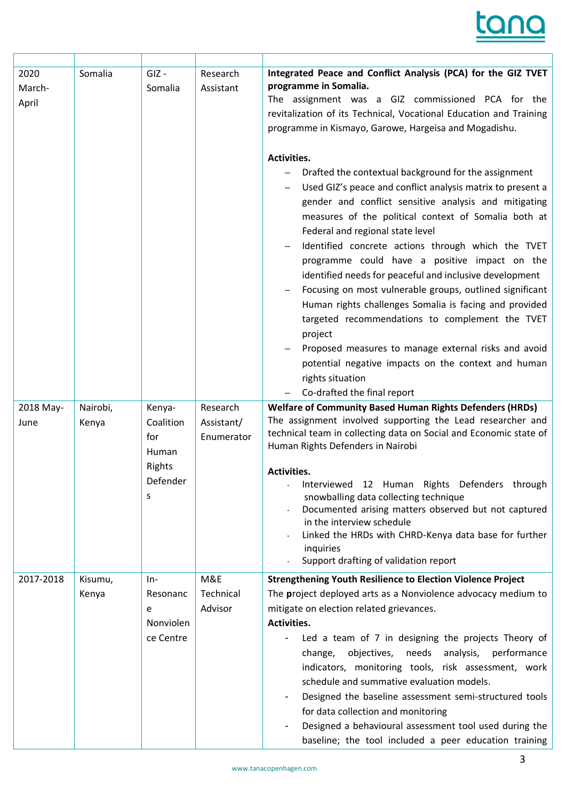| 2020<br>March-<br>April | Somalia           | $GIZ -$<br>Somalia                                             | Research<br>Assistant                | Integrated Peace and Conflict Analysis (PCA) for the GIZ TVET<br>programme in Somalia.<br>The assignment was a GIZ commissioned PCA for the<br>revitalization of its Technical, Vocational Education and Training<br>programme in Kismayo, Garowe, Hargeisa and Mogadishu.<br>Activities.<br>Drafted the contextual background for the assignment<br>Used GIZ's peace and conflict analysis matrix to present a<br>gender and conflict sensitive analysis and mitigating<br>measures of the political context of Somalia both at<br>Federal and regional state level<br>Identified concrete actions through which the TVET<br>programme could have a positive impact on the<br>identified needs for peaceful and inclusive development<br>Focusing on most vulnerable groups, outlined significant<br>Human rights challenges Somalia is facing and provided<br>targeted recommendations to complement the TVET<br>project |
|-------------------------|-------------------|----------------------------------------------------------------|--------------------------------------|----------------------------------------------------------------------------------------------------------------------------------------------------------------------------------------------------------------------------------------------------------------------------------------------------------------------------------------------------------------------------------------------------------------------------------------------------------------------------------------------------------------------------------------------------------------------------------------------------------------------------------------------------------------------------------------------------------------------------------------------------------------------------------------------------------------------------------------------------------------------------------------------------------------------------|
|                         |                   |                                                                |                                      | Proposed measures to manage external risks and avoid<br>potential negative impacts on the context and human<br>rights situation<br>Co-drafted the final report                                                                                                                                                                                                                                                                                                                                                                                                                                                                                                                                                                                                                                                                                                                                                             |
| 2018 May-<br>June       | Nairobi,<br>Kenya | Kenya-<br>Coalition<br>for<br>Human<br>Rights<br>Defender<br>S | Research<br>Assistant/<br>Enumerator | <b>Welfare of Community Based Human Rights Defenders (HRDs)</b><br>The assignment involved supporting the Lead researcher and<br>technical team in collecting data on Social and Economic state of<br>Human Rights Defenders in Nairobi<br>Activities.<br>Interviewed 12 Human Rights Defenders through<br>snowballing data collecting technique<br>Documented arising matters observed but not captured<br>in the interview schedule<br>Linked the HRDs with CHRD-Kenya data base for further<br>inquiries<br>Support drafting of validation report                                                                                                                                                                                                                                                                                                                                                                       |
| 2017-2018               | Kisumu,<br>Kenya  | In-<br>Resonanc<br>e<br>Nonviolen<br>ce Centre                 | M&E<br>Technical<br>Advisor          | <b>Strengthening Youth Resilience to Election Violence Project</b><br>The project deployed arts as a Nonviolence advocacy medium to<br>mitigate on election related grievances.<br>Activities.<br>Led a team of 7 in designing the projects Theory of<br>objectives, needs analysis, performance<br>change,<br>indicators, monitoring tools, risk assessment, work<br>schedule and summative evaluation models.<br>Designed the baseline assessment semi-structured tools<br>for data collection and monitoring<br>Designed a behavioural assessment tool used during the<br>baseline; the tool included a peer education training                                                                                                                                                                                                                                                                                         |

٦

H

ſ